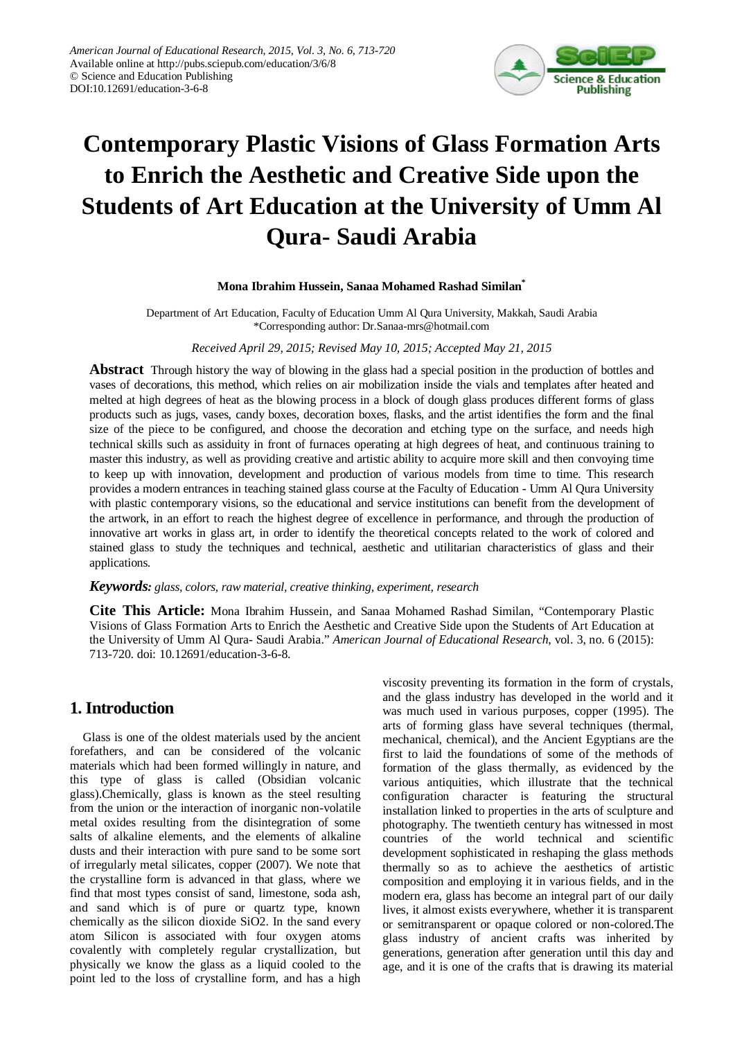

# **Contemporary Plastic Visions of Glass Formation Arts to Enrich the Aesthetic and Creative Side upon the Students of Art Education at the University of Umm Al Qura- Saudi Arabia**

### **Mona Ibrahim Hussein, Sanaa Mohamed Rashad Similan\***

Department of Art Education, Faculty of Education Umm Al Qura University, Makkah, Saudi Arabia \*Corresponding author: Dr.Sanaa-mrs@hotmail.com

*Received April 29, 2015; Revised May 10, 2015; Accepted May 21, 2015*

**Abstract** Through history the way of blowing in the glass had a special position in the production of bottles and vases of decorations, this method, which relies on air mobilization inside the vials and templates after heated and melted at high degrees of heat as the blowing process in a block of dough glass produces different forms of glass products such as jugs, vases, candy boxes, decoration boxes, flasks, and the artist identifies the form and the final size of the piece to be configured, and choose the decoration and etching type on the surface, and needs high technical skills such as assiduity in front of furnaces operating at high degrees of heat, and continuous training to master this industry, as well as providing creative and artistic ability to acquire more skill and then convoying time to keep up with innovation, development and production of various models from time to time. This research provides a modern entrances in teaching stained glass course at the Faculty of Education - Umm Al Qura University with plastic contemporary visions, so the educational and service institutions can benefit from the development of the artwork, in an effort to reach the highest degree of excellence in performance, and through the production of innovative art works in glass art, in order to identify the theoretical concepts related to the work of colored and stained glass to study the techniques and technical, aesthetic and utilitarian characteristics of glass and their applications.

#### *Keywords: glass, colors, raw material, creative thinking, experiment, research*

**Cite This Article:** Mona Ibrahim Hussein, and Sanaa Mohamed Rashad Similan, "Contemporary Plastic Visions of Glass Formation Arts to Enrich the Aesthetic and Creative Side upon the Students of Art Education at the University of Umm Al Qura- Saudi Arabia." *American Journal of Educational Research*, vol. 3, no. 6 (2015): 713-720. doi: 10.12691/education-3-6-8.

# **1. Introduction**

Glass is one of the oldest materials used by the ancient forefathers, and can be considered of the volcanic materials which had been formed willingly in nature, and this type of glass is called (Obsidian volcanic glass).Chemically, glass is known as the steel resulting from the union or the interaction of inorganic non-volatile metal oxides resulting from the disintegration of some salts of alkaline elements, and the elements of alkaline dusts and their interaction with pure sand to be some sort of irregularly metal silicates, copper (2007). We note that the crystalline form is advanced in that glass, where we find that most types consist of sand, limestone, soda ash, and sand which is of pure or quartz type, known chemically as the silicon dioxide SiO2. In the sand every atom Silicon is associated with four oxygen atoms covalently with completely regular crystallization, but physically we know the glass as a liquid cooled to the point led to the loss of crystalline form, and has a high viscosity preventing its formation in the form of crystals, and the glass industry has developed in the world and it was much used in various purposes, copper (1995). The arts of forming glass have several techniques (thermal, mechanical, chemical), and the Ancient Egyptians are the first to laid the foundations of some of the methods of formation of the glass thermally, as evidenced by the various antiquities, which illustrate that the technical configuration character is featuring the structural installation linked to properties in the arts of sculpture and photography. The twentieth century has witnessed in most countries of the world technical and scientific development sophisticated in reshaping the glass methods thermally so as to achieve the aesthetics of artistic composition and employing it in various fields, and in the modern era, glass has become an integral part of our daily lives, it almost exists everywhere, whether it is transparent or semitransparent or opaque colored or non-colored.The glass industry of ancient crafts was inherited by generations, generation after generation until this day and age, and it is one of the crafts that is drawing its material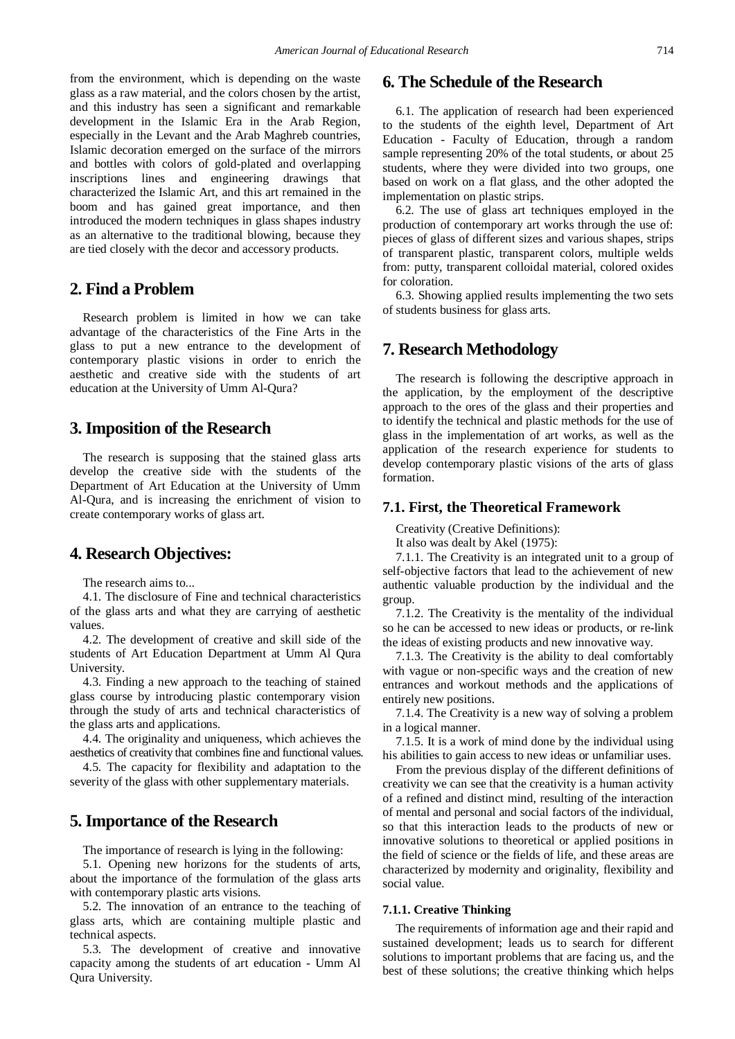from the environment, which is depending on the waste glass as a raw material, and the colors chosen by the artist, and this industry has seen a significant and remarkable development in the Islamic Era in the Arab Region, especially in the Levant and the Arab Maghreb countries, Islamic decoration emerged on the surface of the mirrors and bottles with colors of gold-plated and overlapping inscriptions lines and engineering drawings that characterized the Islamic Art, and this art remained in the boom and has gained great importance, and then introduced the modern techniques in glass shapes industry as an alternative to the traditional blowing, because they are tied closely with the decor and accessory products.

# **2. Find a Problem**

Research problem is limited in how we can take advantage of the characteristics of the Fine Arts in the glass to put a new entrance to the development of contemporary plastic visions in order to enrich the aesthetic and creative side with the students of art education at the University of Umm Al-Qura?

# **3. Imposition of the Research**

The research is supposing that the stained glass arts develop the creative side with the students of the Department of Art Education at the University of Umm Al-Qura, and is increasing the enrichment of vision to create contemporary works of glass art.

# **4. Research Objectives:**

The research aims to...

4.1. The disclosure of Fine and technical characteristics of the glass arts and what they are carrying of aesthetic values.

4.2. The development of creative and skill side of the students of Art Education Department at Umm Al Qura University.

4.3. Finding a new approach to the teaching of stained glass course by introducing plastic contemporary vision through the study of arts and technical characteristics of the glass arts and applications.

4.4. The originality and uniqueness, which achieves the aesthetics of creativity that combines fine and functional values.

4.5. The capacity for flexibility and adaptation to the severity of the glass with other supplementary materials.

# **5. Importance of the Research**

The importance of research is lying in the following:

5.1. Opening new horizons for the students of arts, about the importance of the formulation of the glass arts with contemporary plastic arts visions.

5.2. The innovation of an entrance to the teaching of glass arts, which are containing multiple plastic and technical aspects.

5.3. The development of creative and innovative capacity among the students of art education - Umm Al Qura University.

## **6. The Schedule of the Research**

6.1. The application of research had been experienced to the students of the eighth level, Department of Art Education - Faculty of Education, through a random sample representing 20% of the total students, or about 25 students, where they were divided into two groups, one based on work on a flat glass, and the other adopted the implementation on plastic strips.

6.2. The use of glass art techniques employed in the production of contemporary art works through the use of: pieces of glass of different sizes and various shapes, strips of transparent plastic, transparent colors, multiple welds from: putty, transparent colloidal material, colored oxides for coloration.

6.3. Showing applied results implementing the two sets of students business for glass arts.

# **7. Research Methodology**

The research is following the descriptive approach in the application, by the employment of the descriptive approach to the ores of the glass and their properties and to identify the technical and plastic methods for the use of glass in the implementation of art works, as well as the application of the research experience for students to develop contemporary plastic visions of the arts of glass formation.

#### **7.1. First, the Theoretical Framework**

Creativity (Creative Definitions):

It also was dealt by Akel (1975):

7.1.1. The Creativity is an integrated unit to a group of self-objective factors that lead to the achievement of new authentic valuable production by the individual and the group.

7.1.2. The Creativity is the mentality of the individual so he can be accessed to new ideas or products, or re-link the ideas of existing products and new innovative way.

7.1.3. The Creativity is the ability to deal comfortably with vague or non-specific ways and the creation of new entrances and workout methods and the applications of entirely new positions.

7.1.4. The Creativity is a new way of solving a problem in a logical manner.

7.1.5. It is a work of mind done by the individual using his abilities to gain access to new ideas or unfamiliar uses.

From the previous display of the different definitions of creativity we can see that the creativity is a human activity of a refined and distinct mind, resulting of the interaction of mental and personal and social factors of the individual, so that this interaction leads to the products of new or innovative solutions to theoretical or applied positions in the field of science or the fields of life, and these areas are characterized by modernity and originality, flexibility and social value.

#### **7.1.1. Creative Thinking**

The requirements of information age and their rapid and sustained development; leads us to search for different solutions to important problems that are facing us, and the best of these solutions; the creative thinking which helps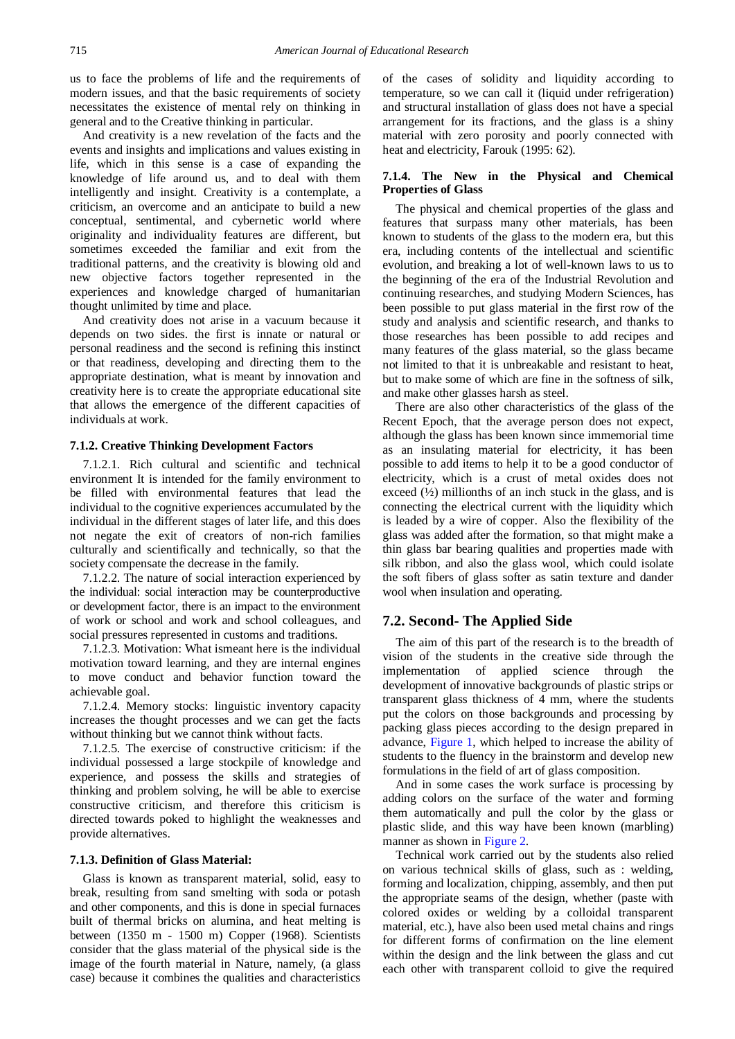us to face the problems of life and the requirements of modern issues, and that the basic requirements of society necessitates the existence of mental rely on thinking in general and to the Creative thinking in particular.

And creativity is a new revelation of the facts and the events and insights and implications and values existing in life, which in this sense is a case of expanding the knowledge of life around us, and to deal with them intelligently and insight. Creativity is a contemplate, a criticism, an overcome and an anticipate to build a new conceptual, sentimental, and cybernetic world where originality and individuality features are different, but sometimes exceeded the familiar and exit from the traditional patterns, and the creativity is blowing old and new objective factors together represented in the experiences and knowledge charged of humanitarian thought unlimited by time and place.

And creativity does not arise in a vacuum because it depends on two sides. the first is innate or natural or personal readiness and the second is refining this instinct or that readiness, developing and directing them to the appropriate destination, what is meant by innovation and creativity here is to create the appropriate educational site that allows the emergence of the different capacities of individuals at work.

#### **7.1.2. Creative Thinking Development Factors**

7.1.2.1. Rich cultural and scientific and technical environment It is intended for the family environment to be filled with environmental features that lead the individual to the cognitive experiences accumulated by the individual in the different stages of later life, and this does not negate the exit of creators of non-rich families culturally and scientifically and technically, so that the society compensate the decrease in the family.

7.1.2.2. The nature of social interaction experienced by the individual: social interaction may be counterproductive or development factor, there is an impact to the environment of work or school and work and school colleagues, and social pressures represented in customs and traditions.

7.1.2.3. Motivation: What ismeant here is the individual motivation toward learning, and they are internal engines to move conduct and behavior function toward the achievable goal.

7.1.2.4. Memory stocks: linguistic inventory capacity increases the thought processes and we can get the facts without thinking but we cannot think without facts.

7.1.2.5. The exercise of constructive criticism: if the individual possessed a large stockpile of knowledge and experience, and possess the skills and strategies of thinking and problem solving, he will be able to exercise constructive criticism, and therefore this criticism is directed towards poked to highlight the weaknesses and provide alternatives.

#### **7.1.3. Definition of Glass Material:**

Glass is known as transparent material, solid, easy to break, resulting from sand smelting with soda or potash and other components, and this is done in special furnaces built of thermal bricks on alumina, and heat melting is between (1350 m - 1500 m) Copper (1968). Scientists consider that the glass material of the physical side is the image of the fourth material in Nature, namely, (a glass case) because it combines the qualities and characteristics

of the cases of solidity and liquidity according to temperature, so we can call it (liquid under refrigeration) and structural installation of glass does not have a special arrangement for its fractions, and the glass is a shiny material with zero porosity and poorly connected with heat and electricity, Farouk (1995: 62).

#### **7.1.4. The New in the Physical and Chemical Properties of Glass**

The physical and chemical properties of the glass and features that surpass many other materials, has been known to students of the glass to the modern era, but this era, including contents of the intellectual and scientific evolution, and breaking a lot of well-known laws to us to the beginning of the era of the Industrial Revolution and continuing researches, and studying Modern Sciences, has been possible to put glass material in the first row of the study and analysis and scientific research, and thanks to those researches has been possible to add recipes and many features of the glass material, so the glass became not limited to that it is unbreakable and resistant to heat, but to make some of which are fine in the softness of silk, and make other glasses harsh as steel.

There are also other characteristics of the glass of the Recent Epoch, that the average person does not expect, although the glass has been known since immemorial time as an insulating material for electricity, it has been possible to add items to help it to be a good conductor of electricity, which is a crust of metal oxides does not exceed  $(V_2)$  millionths of an inch stuck in the glass, and is connecting the electrical current with the liquidity which is leaded by a wire of copper. Also the flexibility of the glass was added after the formation, so that might make a thin glass bar bearing qualities and properties made with silk ribbon, and also the glass wool, which could isolate the soft fibers of glass softer as satin texture and dander wool when insulation and operating.

#### **7.2. Second- The Applied Side**

The aim of this part of the research is to the breadth of vision of the students in the creative side through the implementation of applied science through the development of innovative backgrounds of plastic strips or transparent glass thickness of 4 mm, where the students put the colors on those backgrounds and processing by packing glass pieces according to the design prepared in advance, [Figure 1,](#page-3-0) which helped to increase the ability of students to the fluency in the brainstorm and develop new formulations in the field of art of glass composition.

And in some cases the work surface is processing by adding colors on the surface of the water and forming them automatically and pull the color by the glass or plastic slide, and this way have been known (marbling) manner as shown in [Figure 2.](#page-3-1)

Technical work carried out by the students also relied on various technical skills of glass, such as : welding, forming and localization, chipping, assembly, and then put the appropriate seams of the design, whether (paste with colored oxides or welding by a colloidal transparent material, etc.), have also been used metal chains and rings for different forms of confirmation on the line element within the design and the link between the glass and cut each other with transparent colloid to give the required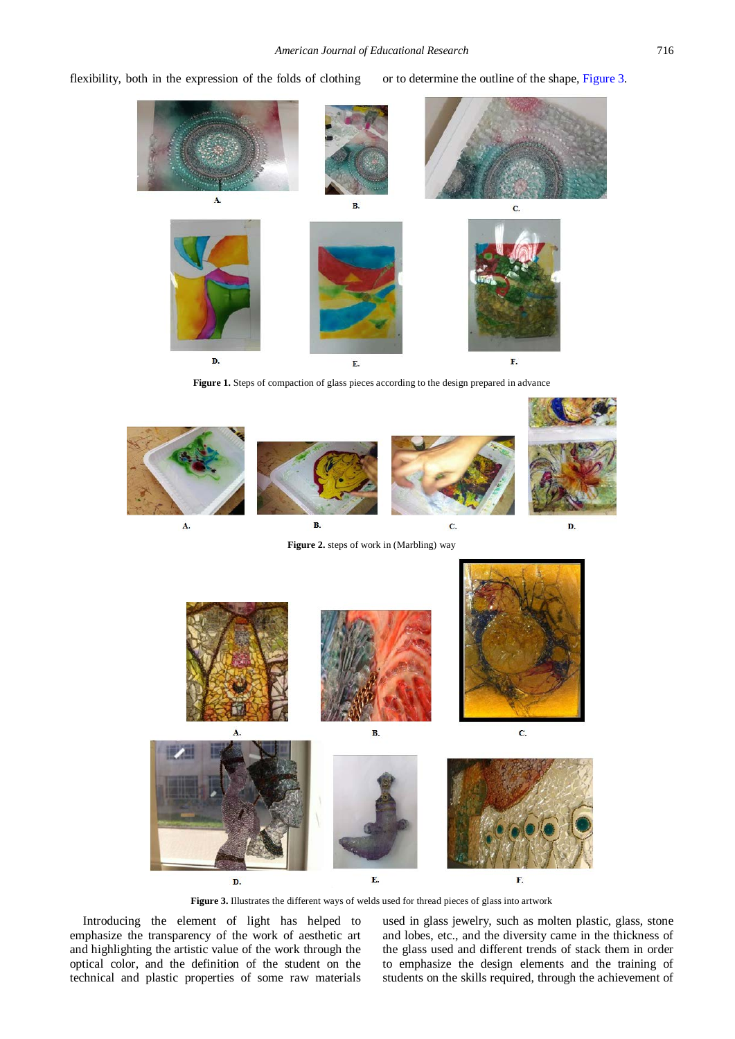<span id="page-3-0"></span>flexibility, both in the expression of the folds of clothing or to determine the outline of the shape, [Figure 3.](#page-3-2)



**Figure 1.** Steps of compaction of glass pieces according to the design prepared in advance

<span id="page-3-1"></span>

**Figure 2.** steps of work in (Marbling) way

<span id="page-3-2"></span>

**Figure 3.** Illustrates the different ways of welds used for thread pieces of glass into artwork

Introducing the element of light has helped to emphasize the transparency of the work of aesthetic art and highlighting the artistic value of the work through the optical color, and the definition of the student on the technical and plastic properties of some raw materials used in glass jewelry, such as molten plastic, glass, stone and lobes, etc., and the diversity came in the thickness of the glass used and different trends of stack them in order to emphasize the design elements and the training of students on the skills required, through the achievement of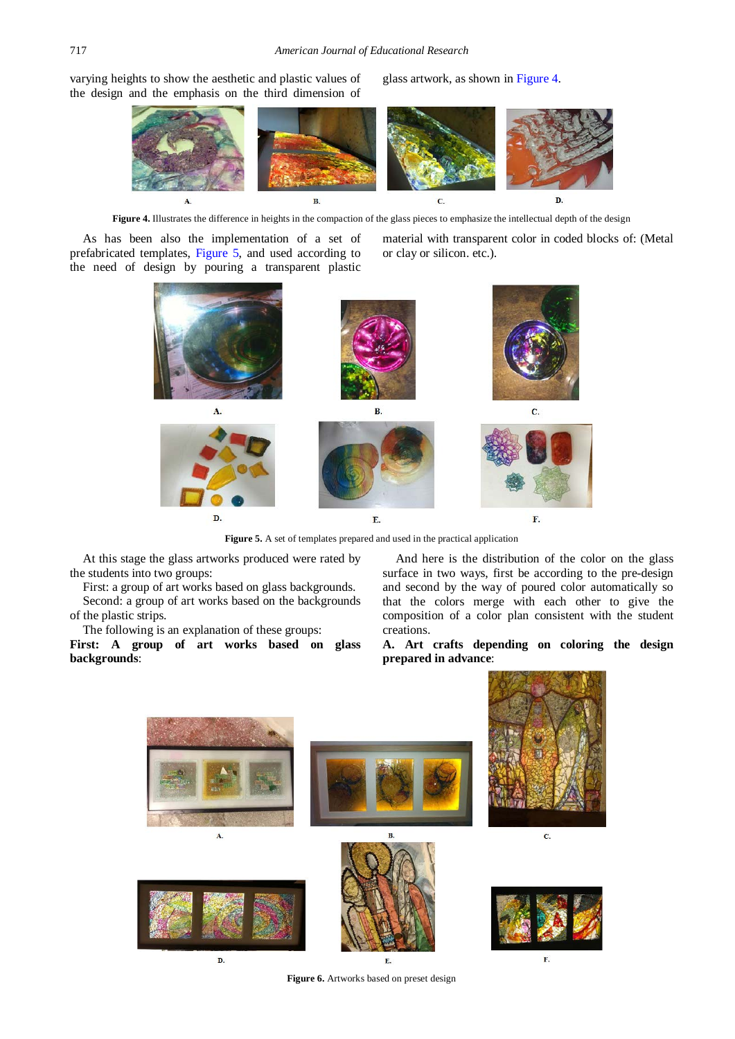<span id="page-4-0"></span>varying heights to show the aesthetic and plastic values of the design and the emphasis on the third dimension of glass artwork, as shown in [Figure 4.](#page-4-0)



**Figure 4.** Illustrates the difference in heights in the compaction of the glass pieces to emphasize the intellectual depth of the design

<span id="page-4-1"></span>As has been also the implementation of a set of prefabricated templates, [Figure 5,](#page-4-1) and used according to the need of design by pouring a transparent plastic material with transparent color in coded blocks of: (Metal or clay or silicon. etc.).



**Figure 5.** A set of templates prepared and used in the practical application

At this stage the glass artworks produced were rated by the students into two groups:

First: a group of art works based on glass backgrounds.

Second: a group of art works based on the backgrounds of the plastic strips.

The following is an explanation of these groups:

**First: A group of art works based on glass backgrounds**:

And here is the distribution of the color on the glass surface in two ways, first be according to the pre-design and second by the way of poured color automatically so that the colors merge with each other to give the composition of a color plan consistent with the student creations.

**A. Art crafts depending on coloring the design prepared in advance**:



**Figure 6.** Artworks based on preset design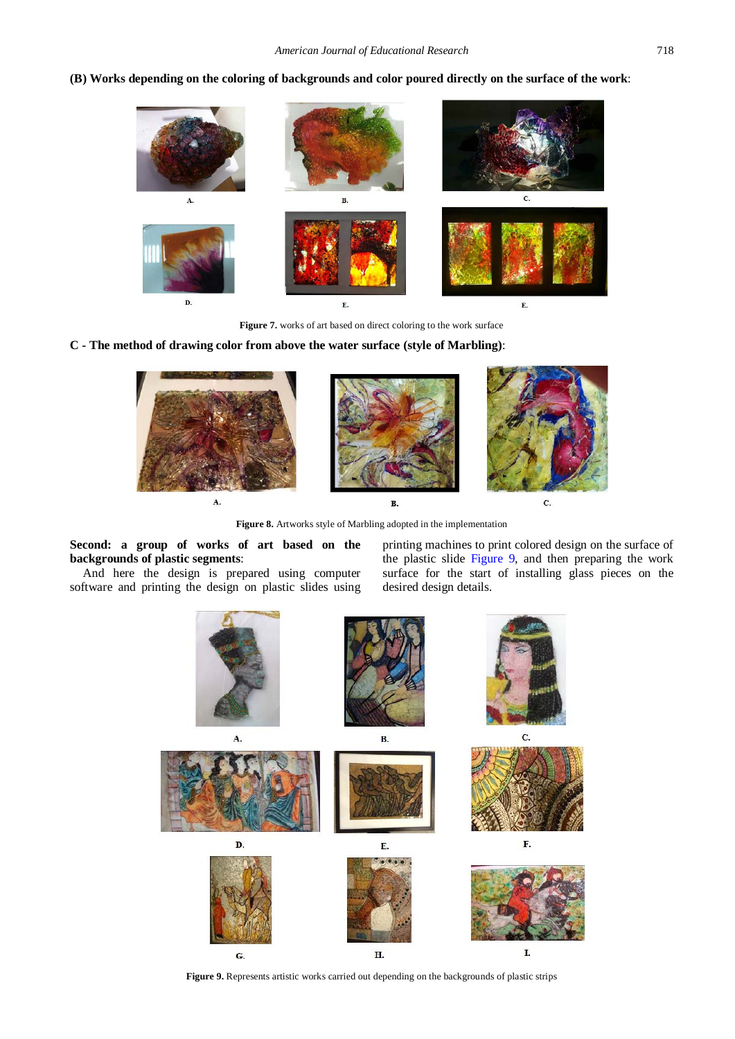**(B) Works depending on the coloring of backgrounds and color poured directly on the surface of the work**:



**Figure 7.** works of art based on direct coloring to the work surface

**C - The method of drawing color from above the water surface (style of Marbling)**:



**Figure 8.** Artworks style of Marbling adopted in the implementation

**Second: a group of works of art based on the backgrounds of plastic segments**:

<span id="page-5-0"></span>And here the design is prepared using computer software and printing the design on plastic slides using printing machines to print colored design on the surface of the plastic slide [Figure 9,](#page-5-0) and then preparing the work surface for the start of installing glass pieces on the desired design details.



**Figure 9.** Represents artistic works carried out depending on the backgrounds of plastic strips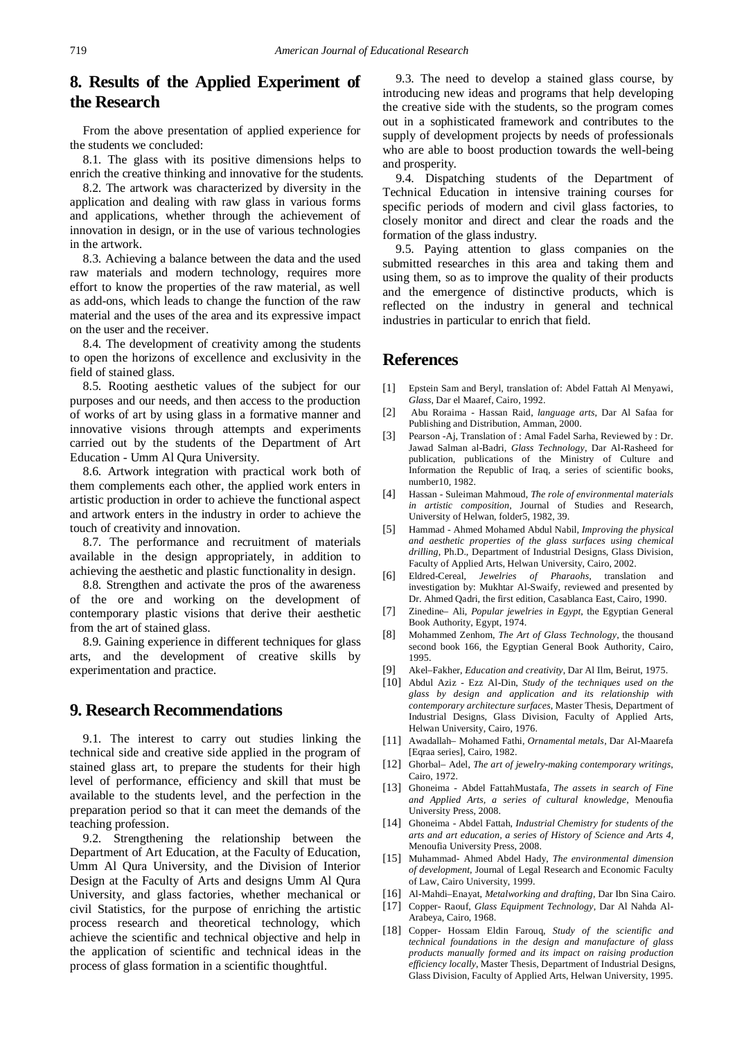# **8. Results of the Applied Experiment of the Research**

From the above presentation of applied experience for the students we concluded:

8.1. The glass with its positive dimensions helps to enrich the creative thinking and innovative for the students.

8.2. The artwork was characterized by diversity in the application and dealing with raw glass in various forms and applications, whether through the achievement of innovation in design, or in the use of various technologies in the artwork.

8.3. Achieving a balance between the data and the used raw materials and modern technology, requires more effort to know the properties of the raw material, as well as add-ons, which leads to change the function of the raw material and the uses of the area and its expressive impact on the user and the receiver.

8.4. The development of creativity among the students to open the horizons of excellence and exclusivity in the field of stained glass.

8.5. Rooting aesthetic values of the subject for our purposes and our needs, and then access to the production of works of art by using glass in a formative manner and innovative visions through attempts and experiments carried out by the students of the Department of Art Education - Umm Al Qura University.

8.6. Artwork integration with practical work both of them complements each other, the applied work enters in artistic production in order to achieve the functional aspect and artwork enters in the industry in order to achieve the touch of creativity and innovation.

8.7. The performance and recruitment of materials available in the design appropriately, in addition to achieving the aesthetic and plastic functionality in design.

8.8. Strengthen and activate the pros of the awareness of the ore and working on the development of contemporary plastic visions that derive their aesthetic from the art of stained glass.

8.9. Gaining experience in different techniques for glass arts, and the development of creative skills by experimentation and practice.

# **9. Research Recommendations**

9.1. The interest to carry out studies linking the technical side and creative side applied in the program of stained glass art, to prepare the students for their high level of performance, efficiency and skill that must be available to the students level, and the perfection in the preparation period so that it can meet the demands of the teaching profession.

9.2. Strengthening the relationship between the Department of Art Education, at the Faculty of Education, Umm Al Qura University, and the Division of Interior Design at the Faculty of Arts and designs Umm Al Qura University, and glass factories, whether mechanical or civil Statistics, for the purpose of enriching the artistic process research and theoretical technology, which achieve the scientific and technical objective and help in the application of scientific and technical ideas in the process of glass formation in a scientific thoughtful.

9.3. The need to develop a stained glass course, by introducing new ideas and programs that help developing the creative side with the students, so the program comes out in a sophisticated framework and contributes to the supply of development projects by needs of professionals who are able to boost production towards the well-being and prosperity.

9.4. Dispatching students of the Department of Technical Education in intensive training courses for specific periods of modern and civil glass factories, to closely monitor and direct and clear the roads and the formation of the glass industry.

9.5. Paying attention to glass companies on the submitted researches in this area and taking them and using them, so as to improve the quality of their products and the emergence of distinctive products, which is reflected on the industry in general and technical industries in particular to enrich that field.

# **References**

- [1] Epstein Sam and Beryl, translation of: Abdel Fattah Al Menyawi, *Glass*, Dar el Maaref, Cairo, 1992.
- [2] Abu Roraima Hassan Raid, *language arts*, Dar Al Safaa for Publishing and Distribution, Amman, 2000.
- [3] Pearson -Aj, Translation of : Amal Fadel Sarha, Reviewed by : Dr. Jawad Salman al-Badri*, Glass Technology*, Dar Al-Rasheed for publication, publications of the Ministry of Culture and Information the Republic of Iraq, a series of scientific books, number10, 1982.
- [4] Hassan Suleiman Mahmoud, *The role of environmental materials in artistic composition*, Journal of Studies and Research, University of Helwan, folder5, 1982, 39.
- [5] Hammad Ahmed Mohamed Abdul Nabil, *Improving the physical and aesthetic properties of the glass surfaces using chemical drilling*, Ph.D., Department of Industrial Designs, Glass Division, Faculty of Applied Arts, Helwan University, Cairo, 2002.
- [6] Eldred-Cereal, *Jewelries of Pharaohs*, translation and investigation by: Mukhtar Al-Swaify, reviewed and presented by Dr. Ahmed Qadri, the first edition, Casablanca East, Cairo, 1990.
- [7] Zinedine– Ali, *Popular jewelries in Egypt*, the Egyptian General Book Authority, Egypt, 1974.
- [8] Mohammed Zenhom, *The Art of Glass Technology*, the thousand second book 166, the Egyptian General Book Authority, Cairo, 1995.
- [9] Akel–Fakher, *Education and creativity*, Dar Al Ilm, Beirut, 1975.
- [10] Abdul Aziz Ezz Al-Din, *Study of the techniques used on the glass by design and application and its relationship with contemporary architecture surfaces*, Master Thesis, Department of Industrial Designs, Glass Division, Faculty of Applied Arts, Helwan University, Cairo, 1976.
- [11] Awadallah– Mohamed Fathi, *Ornamental metals*, Dar Al-Maarefa [Eqraa series], Cairo, 1982.
- [12] Ghorbal– Adel, *The art of jewelry-making contemporary writings*, Cairo, 1972.
- [13] Ghoneima Abdel FattahMustafa, *The assets in search of Fine and Applied Arts, a series of cultural knowledge*, Menoufia University Press, 2008.
- [14] Ghoneima Abdel Fattah, *Industrial Chemistry for students of the arts and art education, a series of History of Science and Arts 4,*  Menoufia University Press, 2008.
- [15] Muhammad- Ahmed Abdel Hady, *The environmental dimension of development,* Journal of Legal Research and Economic Faculty of Law, Cairo University, 1999.
- [16] Al-Mahdi–Enayat, *Metalworking and drafting*, Dar Ibn Sina Cairo.
- [17] Copper- Raouf, *Glass Equipment Technology*, Dar Al Nahda Al-Arabeya, Cairo, 1968.
- [18] Copper- Hossam Eldin Farouq, *Study of the scientific and technical foundations in the design and manufacture of glass products manually formed and its impact on raising production efficiency locally*, Master Thesis, Department of Industrial Designs, Glass Division, Faculty of Applied Arts, Helwan University, 1995.